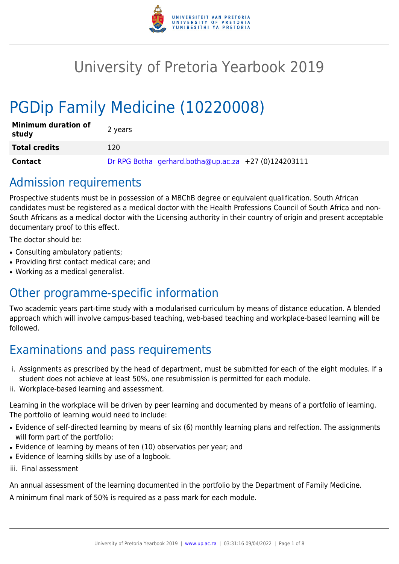

# University of Pretoria Yearbook 2019

# PGDip Family Medicine (10220008)

| <b>Minimum duration of</b><br>study | 2 years                                              |
|-------------------------------------|------------------------------------------------------|
| <b>Total credits</b>                | 120                                                  |
| <b>Contact</b>                      | Dr RPG Botha gerhard.botha@up.ac.za +27 (0)124203111 |

## Admission requirements

Prospective students must be in possession of a MBChB degree or equivalent qualification. South African candidates must be registered as a medical doctor with the Health Professions Council of South Africa and non-South Africans as a medical doctor with the Licensing authority in their country of origin and present acceptable documentary proof to this effect.

The doctor should be:

- Consulting ambulatory patients;
- Providing first contact medical care; and
- Working as a medical generalist.

## Other programme-specific information

Two academic years part-time study with a modularised curriculum by means of distance education. A blended approach which will involve campus-based teaching, web-based teaching and workplace-based learning will be followed.

## Examinations and pass requirements

- i. Assignments as prescribed by the head of department, must be submitted for each of the eight modules. If a student does not achieve at least 50%, one resubmission is permitted for each module.
- ii. Workplace-based learning and assessment.

Learning in the workplace will be driven by peer learning and documented by means of a portfolio of learning. The portfolio of learning would need to include:

- Evidence of self-directed learning by means of six (6) monthly learning plans and relfection. The assignments will form part of the portfolio;
- Evidence of learning by means of ten (10) observatios per year; and
- Evidence of learning skills by use of a logbook.
- iii. Final assessment

An annual assessment of the learning documented in the portfolio by the Department of Family Medicine.

A minimum final mark of 50% is required as a pass mark for each module.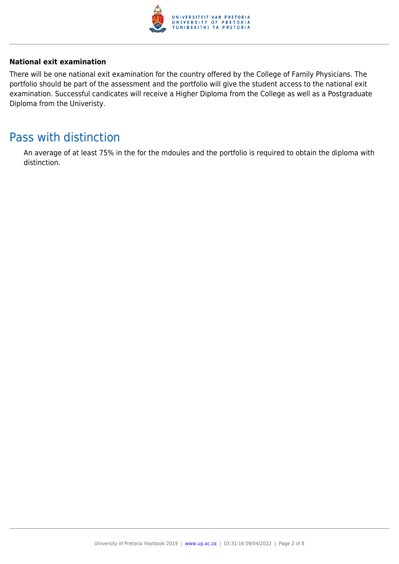

### **National exit examination**

There will be one national exit examination for the country offered by the College of Family Physicians. The portfolio should be part of the assessment and the portfolio will give the student access to the national exit examination. Successful candicates will receive a Higher Diploma from the College as well as a Postgraduate Diploma from the Univeristy.

## Pass with distinction

An average of at least 75% in the for the mdoules and the portfolio is required to obtain the diploma with distinction.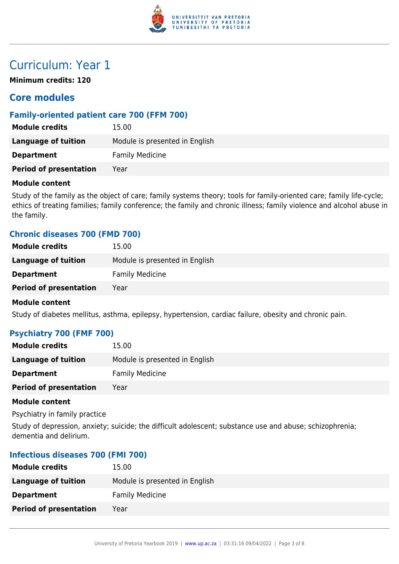

## Curriculum: Year 1

**Minimum credits: 120**

## **Core modules**

## **Family-oriented patient care 700 (FFM 700)**

| <b>Module credits</b>         | 15.00                          |
|-------------------------------|--------------------------------|
| Language of tuition           | Module is presented in English |
| <b>Department</b>             | <b>Family Medicine</b>         |
| <b>Period of presentation</b> | Year                           |

#### **Module content**

Study of the family as the object of care; family systems theory; tools for family-oriented care; family life-cycle; ethics of treating families; family conference; the family and chronic illness; family violence and alcohol abuse in the family.

## **Chronic diseases 700 (FMD 700)**

| <b>Module credits</b>         | 15.00                          |
|-------------------------------|--------------------------------|
| <b>Language of tuition</b>    | Module is presented in English |
| <b>Department</b>             | <b>Family Medicine</b>         |
| <b>Period of presentation</b> | Year                           |
|                               |                                |

#### **Module content**

Study of diabetes mellitus, asthma, epilepsy, hypertension, cardiac failure, obesity and chronic pain.

## **Psychiatry 700 (FMF 700)**

| <b>Module credits</b>         | 15.00                          |
|-------------------------------|--------------------------------|
| Language of tuition           | Module is presented in English |
| <b>Department</b>             | <b>Family Medicine</b>         |
| <b>Period of presentation</b> | Year                           |

### **Module content**

Psychiatry in family practice

Study of depression, anxiety; suicide; the difficult adolescent; substance use and abuse; schizophrenia; dementia and delirium.

### **Infectious diseases 700 (FMI 700)**

| <b>Module credits</b>         | 15.00                          |
|-------------------------------|--------------------------------|
| <b>Language of tuition</b>    | Module is presented in English |
| <b>Department</b>             | <b>Family Medicine</b>         |
| <b>Period of presentation</b> | Year                           |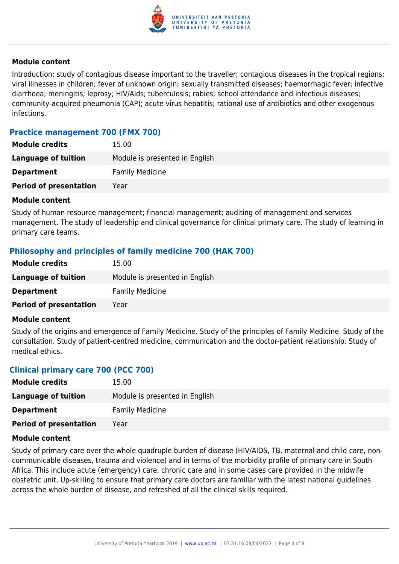

### **Module content**

Introduction; study of contagious disease important to the traveller; contagious diseases in the tropical regions; viral illnesses in children; fever of unknown origin; sexually transmitted diseases; haemorrhagic fever; infective diarrhoea; meningitis; leprosy; HIV/Aids; tuberculosis; rabies; school attendance and infectious diseases; community-acquired pneumonia (CAP); acute virus hepatitis; rational use of antibiotics and other exogenous infections.

## **Practice management 700 (FMX 700)**

| <b>Module credits</b>         | 15.00                          |
|-------------------------------|--------------------------------|
| Language of tuition           | Module is presented in English |
| <b>Department</b>             | <b>Family Medicine</b>         |
| <b>Period of presentation</b> | Year                           |
|                               |                                |

#### **Module content**

Study of human resource management; financial management; auditing of management and services management. The study of leadership and clinical governance for clinical primary care. The study of learning in primary care teams.

## **Philosophy and principles of family medicine 700 (HAK 700)**

| <b>Module credits</b>         | 15.00                          |
|-------------------------------|--------------------------------|
| Language of tuition           | Module is presented in English |
| <b>Department</b>             | <b>Family Medicine</b>         |
| <b>Period of presentation</b> | Year                           |

#### **Module content**

Study of the origins and emergence of Family Medicine. Study of the principles of Family Medicine. Study of the consultation. Study of patient-centred medicine, communication and the doctor-patient relationship. Study of medical ethics.

## **Clinical primary care 700 (PCC 700)**

| <b>Module credits</b>         | 15.00                          |
|-------------------------------|--------------------------------|
| Language of tuition           | Module is presented in English |
| <b>Department</b>             | <b>Family Medicine</b>         |
| <b>Period of presentation</b> | Year                           |

#### **Module content**

Study of primary care over the whole quadruple burden of disease (HIV/AIDS, TB, maternal and child care, noncommunicable diseases, trauma and violence) and in terms of the morbidity profile of primary care in South Africa. This include acute (emergency) care, chronic care and in some cases care provided in the midwife obstetric unit. Up-skilling to ensure that primary care doctors are familiar with the latest national guidelines across the whole burden of disease, and refreshed of all the clinical skills required.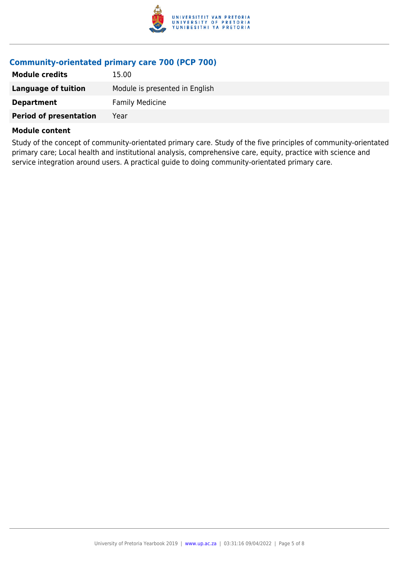

## **Community-orientated primary care 700 (PCP 700)**

| <b>Module credits</b>         | 15.00                          |
|-------------------------------|--------------------------------|
| Language of tuition           | Module is presented in English |
| <b>Department</b>             | <b>Family Medicine</b>         |
| <b>Period of presentation</b> | Year                           |

#### **Module content**

Study of the concept of community-orientated primary care. Study of the five principles of community-orientated primary care; Local health and institutional analysis, comprehensive care, equity, practice with science and service integration around users. A practical guide to doing community-orientated primary care.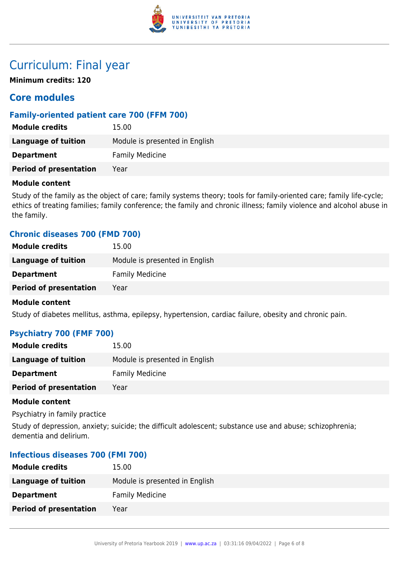

## Curriculum: Final year

**Minimum credits: 120**

## **Core modules**

## **Family-oriented patient care 700 (FFM 700)**

| <b>Module credits</b>         | 15.00                          |
|-------------------------------|--------------------------------|
| Language of tuition           | Module is presented in English |
| <b>Department</b>             | <b>Family Medicine</b>         |
| <b>Period of presentation</b> | Year                           |

### **Module content**

Study of the family as the object of care; family systems theory; tools for family-oriented care; family life-cycle; ethics of treating families; family conference; the family and chronic illness; family violence and alcohol abuse in the family.

## **Chronic diseases 700 (FMD 700)**

| <b>Module credits</b>         | 15.00                          |
|-------------------------------|--------------------------------|
| Language of tuition           | Module is presented in English |
| <b>Department</b>             | <b>Family Medicine</b>         |
| <b>Period of presentation</b> | Year                           |
|                               |                                |

#### **Module content**

Study of diabetes mellitus, asthma, epilepsy, hypertension, cardiac failure, obesity and chronic pain.

## **Psychiatry 700 (FMF 700)**

| <b>Module credits</b>         | 15.00                          |
|-------------------------------|--------------------------------|
| Language of tuition           | Module is presented in English |
| <b>Department</b>             | <b>Family Medicine</b>         |
| <b>Period of presentation</b> | Year                           |

#### **Module content**

Psychiatry in family practice

Study of depression, anxiety; suicide; the difficult adolescent; substance use and abuse; schizophrenia; dementia and delirium.

### **Infectious diseases 700 (FMI 700)**

| <b>Module credits</b>         | 15.00                          |
|-------------------------------|--------------------------------|
| <b>Language of tuition</b>    | Module is presented in English |
| <b>Department</b>             | <b>Family Medicine</b>         |
| <b>Period of presentation</b> | Year                           |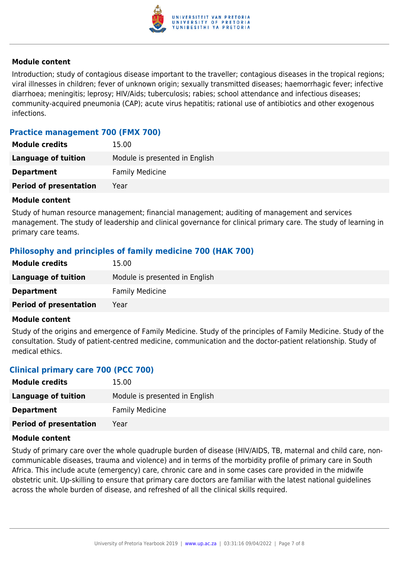

### **Module content**

Introduction; study of contagious disease important to the traveller; contagious diseases in the tropical regions; viral illnesses in children; fever of unknown origin; sexually transmitted diseases; haemorrhagic fever; infective diarrhoea; meningitis; leprosy; HIV/Aids; tuberculosis; rabies; school attendance and infectious diseases; community-acquired pneumonia (CAP); acute virus hepatitis; rational use of antibiotics and other exogenous infections.

## **Practice management 700 (FMX 700)**

| <b>Module credits</b>         | 15.00                          |
|-------------------------------|--------------------------------|
| Language of tuition           | Module is presented in English |
| <b>Department</b>             | <b>Family Medicine</b>         |
| <b>Period of presentation</b> | Year                           |
|                               |                                |

#### **Module content**

Study of human resource management; financial management; auditing of management and services management. The study of leadership and clinical governance for clinical primary care. The study of learning in primary care teams.

## **Philosophy and principles of family medicine 700 (HAK 700)**

| <b>Module credits</b>         | 15.00                          |
|-------------------------------|--------------------------------|
| Language of tuition           | Module is presented in English |
| <b>Department</b>             | <b>Family Medicine</b>         |
| <b>Period of presentation</b> | Year                           |

#### **Module content**

Study of the origins and emergence of Family Medicine. Study of the principles of Family Medicine. Study of the consultation. Study of patient-centred medicine, communication and the doctor-patient relationship. Study of medical ethics.

## **Clinical primary care 700 (PCC 700)**

| <b>Module credits</b>         | 15.00                          |
|-------------------------------|--------------------------------|
| Language of tuition           | Module is presented in English |
| <b>Department</b>             | <b>Family Medicine</b>         |
| <b>Period of presentation</b> | Year                           |

#### **Module content**

Study of primary care over the whole quadruple burden of disease (HIV/AIDS, TB, maternal and child care, noncommunicable diseases, trauma and violence) and in terms of the morbidity profile of primary care in South Africa. This include acute (emergency) care, chronic care and in some cases care provided in the midwife obstetric unit. Up-skilling to ensure that primary care doctors are familiar with the latest national guidelines across the whole burden of disease, and refreshed of all the clinical skills required.